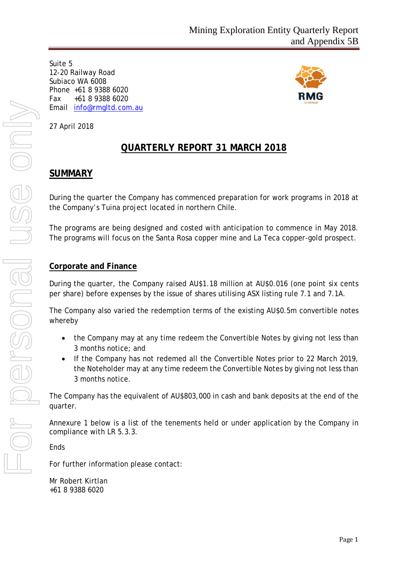Suite 5 12-20 Railway Road Subiaco WA 6008 Phone +61 8 9388 6020 Fax +61 8 9388 6020 Email [info@rmgltd.com.au](mailto:info@rmgltd.com.au)



27 April 2018

# **QUARTERLY REPORT 31 MARCH 2018**

# **SUMMARY**

During the quarter the Company has commenced preparation for work programs in 2018 at the Company's Tuina project located in northern Chile.

The programs are being designed and costed with anticipation to commence in May 2018. The programs will focus on the Santa Rosa copper mine and La Teca copper-gold prospect.

## **Corporate and Finance**

During the quarter, the Company raised AU\$1.18 million at AU\$0.016 (one point six cents per share) before expenses by the issue of shares utilising ASX listing rule 7.1 and 7.1A.

The Company also varied the redemption terms of the existing AU\$0.5m convertible notes whereby

- the Company may at any time redeem the Convertible Notes by giving not less than 3 months notice; and
- If the Company has not redemed all the Convertible Notes prior to 22 March 2019, the Noteholder may at any time redeem the Convertible Notes by giving not less than 3 months notice.

The Company has the equivalent of AU\$803,000 in cash and bank deposits at the end of the quarter.

Annexure 1 below is a list of the tenements held or under application by the Company in compliance with LR 5.3.3.

Ends

For further information please contact:

Mr Robert Kirtlan +61 8 9388 6020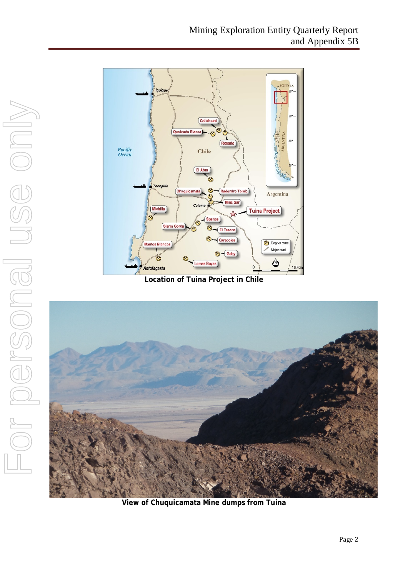

**Location of Tuina Project in Chile**



**View of Chuquicamata Mine dumps from Tuina**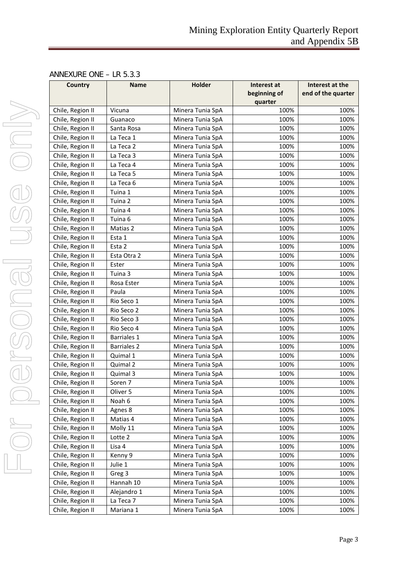## ANNEXURE ONE – LR 5.3.3

| <b>Country</b>   | <b>Name</b>        | <b>Holder</b>    | Interest at  | Interest at the    |
|------------------|--------------------|------------------|--------------|--------------------|
|                  |                    |                  | beginning of | end of the quarter |
|                  |                    |                  | quarter      |                    |
| Chile, Region II | Vicuna             | Minera Tunia SpA | 100%         | 100%               |
| Chile, Region II | Guanaco            | Minera Tunia SpA | 100%         | 100%               |
| Chile, Region II | Santa Rosa         | Minera Tunia SpA | 100%         | 100%               |
| Chile, Region II | La Teca 1          | Minera Tunia SpA | 100%         | 100%               |
| Chile, Region II | La Teca 2          | Minera Tunia SpA | 100%         | 100%               |
| Chile, Region II | La Teca 3          | Minera Tunia SpA | 100%         | 100%               |
| Chile, Region II | La Teca 4          | Minera Tunia SpA | 100%         | 100%               |
| Chile, Region II | La Teca 5          | Minera Tunia SpA | 100%         | 100%               |
| Chile, Region II | La Teca 6          | Minera Tunia SpA | 100%         | 100%               |
| Chile, Region II | Tuina 1            | Minera Tunia SpA | 100%         | 100%               |
| Chile, Region II | Tuina 2            | Minera Tunia SpA | 100%         | 100%               |
| Chile, Region II | Tuina 4            | Minera Tunia SpA | 100%         | 100%               |
| Chile, Region II | Tuina 6            | Minera Tunia SpA | 100%         | 100%               |
| Chile, Region II | Matias 2           | Minera Tunia SpA | 100%         | 100%               |
| Chile, Region II | Esta 1             | Minera Tunia SpA | 100%         | 100%               |
| Chile, Region II | Esta 2             | Minera Tunia SpA | 100%         | 100%               |
| Chile, Region II | Esta Otra 2        | Minera Tunia SpA | 100%         | 100%               |
| Chile, Region II | Ester              | Minera Tunia SpA | 100%         | 100%               |
| Chile, Region II | Tuina 3            | Minera Tunia SpA | 100%         | 100%               |
| Chile, Region II | Rosa Ester         | Minera Tunia SpA | 100%         | 100%               |
| Chile, Region II | Paula              | Minera Tunia SpA | 100%         | 100%               |
| Chile, Region II | Rio Seco 1         | Minera Tunia SpA | 100%         | 100%               |
| Chile, Region II | Rio Seco 2         | Minera Tunia SpA | 100%         | 100%               |
| Chile, Region II | Rio Seco 3         | Minera Tunia SpA | 100%         | 100%               |
| Chile, Region II | Rio Seco 4         | Minera Tunia SpA | 100%         | 100%               |
| Chile, Region II | Barriales 1        | Minera Tunia SpA | 100%         | 100%               |
| Chile, Region II | <b>Barriales 2</b> | Minera Tunia SpA | 100%         | 100%               |
| Chile, Region II | Quimal 1           | Minera Tunia SpA | 100%         | 100%               |
| Chile, Region II | Quimal 2           | Minera Tunia SpA | 100%         | 100%               |
| Chile, Region II | Quimal 3           | Minera Tunia SpA | 100%         | 100%               |
| Chile, Region II | Soren 7            | Minera Tunia SpA | 100%         | 100%               |
| Chile, Region II | Oliver 5           | Minera Tunia SpA | 100%         | 100%               |
| Chile, Region II | Noah 6             | Minera Tunia SpA | 100%         | 100%               |
| Chile, Region II | Agnes 8            | Minera Tunia SpA | 100%         | 100%               |
| Chile, Region II | Matias 4           | Minera Tunia SpA | 100%         | 100%               |
| Chile, Region II | Molly 11           | Minera Tunia SpA | 100%         | 100%               |
| Chile, Region II | Lotte 2            | Minera Tunia SpA | 100%         | 100%               |
| Chile, Region II | Lisa 4             | Minera Tunia SpA | 100%         | 100%               |
| Chile, Region II | Kenny 9            | Minera Tunia SpA | 100%         | 100%               |
| Chile, Region II | Julie 1            | Minera Tunia SpA | 100%         | 100%               |
| Chile, Region II | Greg 3             | Minera Tunia SpA | 100%         | 100%               |
| Chile, Region II | Hannah 10          | Minera Tunia SpA | 100%         | 100%               |
| Chile, Region II | Alejandro 1        | Minera Tunia SpA | 100%         | 100%               |
| Chile, Region II | La Teca 7          | Minera Tunia SpA | 100%         | 100%               |
| Chile, Region II | Mariana 1          | Minera Tunia SpA | 100%         | 100%               |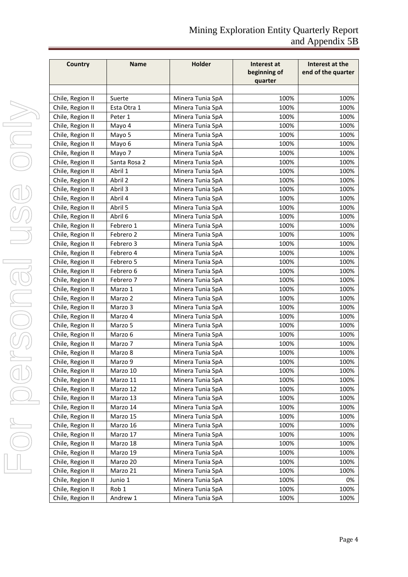| Country          | <b>Name</b>  | Holder           | Interest at<br>beginning of<br>quarter | Interest at the<br>end of the quarter |
|------------------|--------------|------------------|----------------------------------------|---------------------------------------|
|                  |              |                  |                                        |                                       |
| Chile, Region II | Suerte       | Minera Tunia SpA | 100%                                   | 100%                                  |
| Chile, Region II | Esta Otra 1  | Minera Tunia SpA | 100%                                   | 100%                                  |
| Chile, Region II | Peter 1      | Minera Tunia SpA | 100%                                   | 100%                                  |
| Chile, Region II | Mayo 4       | Minera Tunia SpA | 100%                                   | 100%                                  |
| Chile, Region II | Mayo 5       | Minera Tunia SpA | 100%                                   | 100%                                  |
| Chile, Region II | Mayo 6       | Minera Tunia SpA | 100%                                   | 100%                                  |
| Chile, Region II | Mayo 7       | Minera Tunia SpA | 100%                                   | 100%                                  |
| Chile, Region II | Santa Rosa 2 | Minera Tunia SpA | 100%                                   | 100%                                  |
| Chile, Region II | Abril 1      | Minera Tunia SpA | 100%                                   | 100%                                  |
| Chile, Region II | Abril 2      | Minera Tunia SpA | 100%                                   | 100%                                  |
| Chile, Region II | Abril 3      | Minera Tunia SpA | 100%                                   | 100%                                  |
| Chile, Region II | Abril 4      | Minera Tunia SpA | 100%                                   | 100%                                  |
| Chile, Region II | Abril 5      | Minera Tunia SpA | 100%                                   | 100%                                  |
| Chile, Region II | Abril 6      | Minera Tunia SpA | 100%                                   | 100%                                  |
| Chile, Region II | Febrero 1    | Minera Tunia SpA | 100%                                   | 100%                                  |
| Chile, Region II | Febrero 2    | Minera Tunia SpA | 100%                                   | 100%                                  |
| Chile, Region II | Febrero 3    | Minera Tunia SpA | 100%                                   | 100%                                  |
| Chile, Region II | Febrero 4    | Minera Tunia SpA | 100%                                   | 100%                                  |
| Chile, Region II | Febrero 5    | Minera Tunia SpA | 100%                                   | 100%                                  |
| Chile, Region II | Febrero 6    | Minera Tunia SpA | 100%                                   | 100%                                  |
| Chile, Region II | Febrero 7    | Minera Tunia SpA | 100%                                   | 100%                                  |
| Chile, Region II | Marzo 1      | Minera Tunia SpA | 100%                                   | 100%                                  |
| Chile, Region II | Marzo 2      | Minera Tunia SpA | 100%                                   | 100%                                  |
| Chile, Region II | Marzo 3      | Minera Tunia SpA | 100%                                   | 100%                                  |
| Chile, Region II | Marzo 4      | Minera Tunia SpA | 100%                                   | 100%                                  |
| Chile, Region II | Marzo 5      | Minera Tunia SpA | 100%                                   | 100%                                  |
| Chile, Region II | Marzo 6      | Minera Tunia SpA | 100%                                   | 100%                                  |
| Chile, Region II | Marzo 7      | Minera Tunia SpA | 100%                                   | 100%                                  |
| Chile, Region II | Marzo 8      | Minera Tunia SpA | 100%                                   | 100%                                  |
| Chile, Region II | Marzo 9      | Minera Tunia SpA | 100%                                   | 100%                                  |
| Chile, Region II | Marzo 10     | Minera Tunia SpA | 100%                                   | 100%                                  |
| Chile, Region II | Marzo 11     | Minera Tunia SpA | 100%                                   | 100%                                  |
| Chile, Region II | Marzo 12     | Minera Tunia SpA | 100%                                   | 100%                                  |
| Chile, Region II | Marzo 13     | Minera Tunia SpA | 100%                                   | 100%                                  |
| Chile, Region II | Marzo 14     | Minera Tunia SpA | 100%                                   | 100%                                  |
| Chile, Region II | Marzo 15     | Minera Tunia SpA | 100%                                   | 100%                                  |
| Chile, Region II | Marzo 16     | Minera Tunia SpA | 100%                                   | 100%                                  |
| Chile, Region II | Marzo 17     | Minera Tunia SpA | 100%                                   | 100%                                  |
| Chile, Region II | Marzo 18     | Minera Tunia SpA | 100%                                   | 100%                                  |
| Chile, Region II | Marzo 19     | Minera Tunia SpA | 100%                                   | 100%                                  |
| Chile, Region II | Marzo 20     | Minera Tunia SpA | 100%                                   | 100%                                  |
| Chile, Region II | Marzo 21     | Minera Tunia SpA | 100%                                   | 100%                                  |
| Chile, Region II | Junio 1      | Minera Tunia SpA | 100%                                   | 0%                                    |
| Chile, Region II | Rob 1        | Minera Tunia SpA | 100%                                   | 100%                                  |
| Chile, Region II | Andrew 1     | Minera Tunia SpA | 100%                                   | 100%                                  |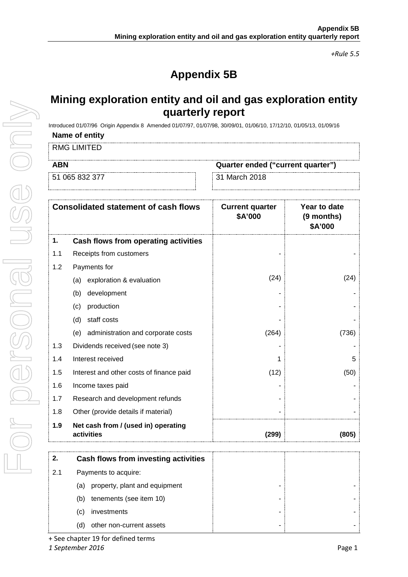*+Rule 5.5*

# **Appendix 5B**

# **Mining exploration entity and oil and gas exploration entity quarterly report**

Introduced 01/07/96 Origin Appendix 8 Amended 01/07/97, 01/07/98, 30/09/01, 01/06/10, 17/12/10, 01/05/13, 01/09/16

### **Name of entity**

RMG LIMITED

| <b>ABN</b>     | Quarter ended ("current quarter") |
|----------------|-----------------------------------|
| 51 065 832 377 | ∵31 March 2018                    |
|                |                                   |

|     | <b>Consolidated statement of cash flows</b>       | <b>Current quarter</b><br>\$A'000 | Year to date<br>(9 months)<br>\$A'000 |
|-----|---------------------------------------------------|-----------------------------------|---------------------------------------|
| 1.  | Cash flows from operating activities              |                                   |                                       |
| 1.1 | Receipts from customers                           |                                   |                                       |
| 1.2 | Payments for                                      |                                   |                                       |
|     | exploration & evaluation<br>(a)                   | (24)                              | (24)                                  |
|     | development<br>(b)                                |                                   |                                       |
|     | production<br>(c)                                 |                                   |                                       |
|     | staff costs<br>(d)                                |                                   |                                       |
|     | (e) administration and corporate costs            | (264)                             | (736)                                 |
| 1.3 | Dividends received (see note 3)                   |                                   |                                       |
| 1.4 | Interest received                                 |                                   | 5                                     |
| 1.5 | Interest and other costs of finance paid          | (12)                              | (50)                                  |
| 1.6 | Income taxes paid                                 |                                   |                                       |
| 1.7 | Research and development refunds                  |                                   |                                       |
| 1.8 | Other (provide details if material)               |                                   |                                       |
| 1.9 | Net cash from / (used in) operating<br>activities | (299)                             | (805)                                 |

|     | Cash flows from investing activities |  |
|-----|--------------------------------------|--|
| 2.1 | Payments to acquire:                 |  |
|     | property, plant and equipment<br>(a) |  |
|     | tenements (see item 10)<br>(b)       |  |
|     | investments<br>(C)                   |  |
|     | other non-current assets<br>(d)      |  |

+ See chapter 19 for defined terms *1 September 2016* Page 1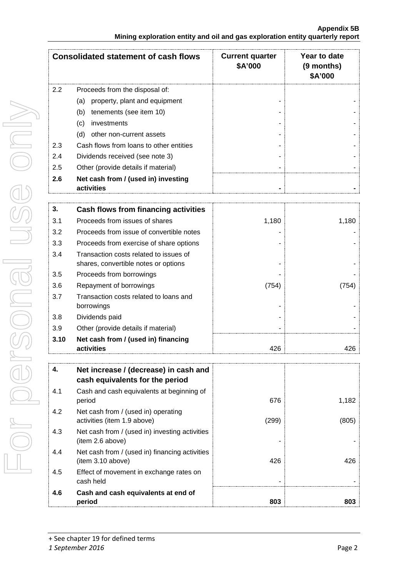#### **Appendix 5B Mining exploration entity and oil and gas exploration entity quarterly report**

|     | <b>Consolidated statement of cash flows</b>       | <b>Current quarter</b><br>\$A'000 | Year to date<br>(9 months)<br>\$A'000 |
|-----|---------------------------------------------------|-----------------------------------|---------------------------------------|
| 2.2 | Proceeds from the disposal of:                    |                                   |                                       |
|     | property, plant and equipment<br>(a)              |                                   |                                       |
|     | tenements (see item 10)<br>(b)                    |                                   |                                       |
|     | investments<br>(c)                                |                                   |                                       |
|     | (d)<br>other non-current assets                   |                                   |                                       |
| 2.3 | Cash flows from loans to other entities           |                                   |                                       |
| 2.4 | Dividends received (see note 3)                   |                                   |                                       |
| 2.5 | Other (provide details if material)               |                                   |                                       |
| 2.6 | Net cash from / (used in) investing<br>activities |                                   |                                       |
|     |                                                   |                                   |                                       |
| 3.  | <b>Cash flows from financing activities</b>       |                                   |                                       |
| 3.1 | Proceeds from issues of shares                    | 1,180                             | 1,180                                 |
| 3.2 | Proceeds from issue of convertible notes          |                                   |                                       |
| 3.3 | Proceeds from exercise of share options           |                                   |                                       |

| 3.10 | Net cash from / (used in) financing<br>activities                              | 426   |      |
|------|--------------------------------------------------------------------------------|-------|------|
| 3.9  | Other (provide details if material)                                            |       |      |
| 3.8  | Dividends paid                                                                 |       |      |
| 3.7  | Transaction costs related to loans and<br>borrowings                           | ۰     |      |
| 3.6  | Repayment of borrowings                                                        | (754) | 754) |
| 3.5  | Proceeds from borrowings                                                       | ۰     |      |
| 3.4  | Transaction costs related to issues of<br>shares, convertible notes or options | ۰     |      |
| 3.3  | Proceeds from exercise of share options                                        |       |      |

| 4.  | Net increase / (decrease) in cash and<br>cash equivalents for the period |       |       |
|-----|--------------------------------------------------------------------------|-------|-------|
| 4.1 | Cash and cash equivalents at beginning of<br>period                      | 676   | 1,182 |
| 4.2 | Net cash from / (used in) operating<br>activities (item 1.9 above)       | (299) | (805) |
| 4.3 | Net cash from / (used in) investing activities<br>(item 2.6 above)       |       |       |
| 4.4 | Net cash from / (used in) financing activities<br>item 3.10 above)       | 426   | 426   |
| 4.5 | Effect of movement in exchange rates on<br>cash held                     |       |       |
| 4.6 | Cash and cash equivalents at end of<br>period                            | 803   | 803   |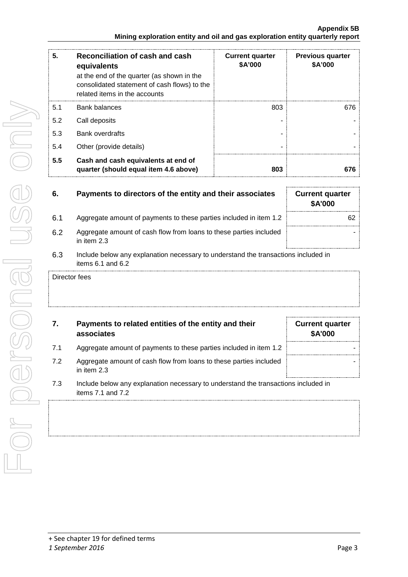| 5.  | Reconciliation of cash and cash<br>equivalents<br>at the end of the quarter (as shown in the<br>consolidated statement of cash flows) to the<br>related items in the accounts | <b>Current quarter</b><br>\$A'000 | <b>Previous quarter</b><br>\$A'000 |
|-----|-------------------------------------------------------------------------------------------------------------------------------------------------------------------------------|-----------------------------------|------------------------------------|
| 5.1 | <b>Bank balances</b>                                                                                                                                                          | 803                               | 676                                |
| 5.2 | Call deposits                                                                                                                                                                 |                                   |                                    |
| 5.3 | <b>Bank overdrafts</b>                                                                                                                                                        |                                   |                                    |
| 5.4 | Other (provide details)                                                                                                                                                       |                                   |                                    |
| 5.5 | Cash and cash equivalents at end of<br>quarter (should equal item 4.6 above)                                                                                                  | 803                               | 676                                |

| 6.  | Payments to directors of the entity and their associates                            | <b>Current quarter</b><br>\$A'000 |
|-----|-------------------------------------------------------------------------------------|-----------------------------------|
| 6.1 | Aggregate amount of payments to these parties included in item 1.2                  | 62                                |
| 6.2 | Aggregate amount of cash flow from loans to these parties included<br>in item $2.3$ |                                   |
| 6.3 | Include below any explanation necessary to understand the transactions included in  |                                   |

6.3 Include below any explanation necessary to understand the transactions included in items 6.1 and 6.2

Director fees

## **7. Payments to related entities of the entity and their associates**

- 7.1 Aggregate amount of payments to these parties included in item 1.2  $\parallel$
- 7.2 Aggregate amount of cash flow from loans to these parties included in item 2.3
- 7.3 Include below any explanation necessary to understand the transactions included in items 7.1 and 7.2

**Current quarter \$A'000**

-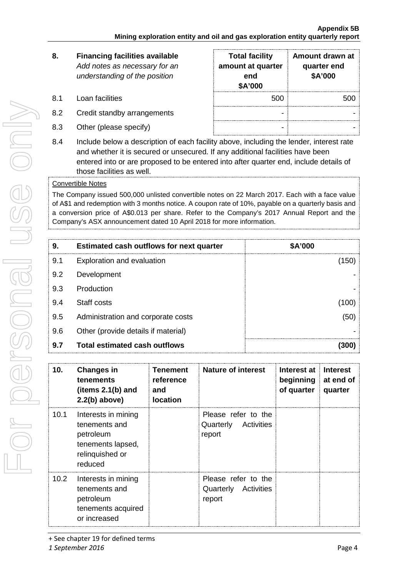# **8. Financing facilities available** *Add notes as necessary for an understanding of the position*

- 8.1 Loan facilities
- 8.2 Credit standby arrangements
- 8.3 Other (please specify)

| <b>Total facility</b><br>amount at quarter<br>end<br>\$A'000 | Amount drawn at<br>quarter end<br>\$A'000 |
|--------------------------------------------------------------|-------------------------------------------|
| 500                                                          | 500                                       |
|                                                              |                                           |
|                                                              |                                           |

8.4 Include below a description of each facility above, including the lender, interest rate and whether it is secured or unsecured. If any additional facilities have been entered into or are proposed to be entered into after quarter end, include details of those facilities as well.

### Convertible Notes

The Company issued 500,000 unlisted convertible notes on 22 March 2017. Each with a face value of A\$1 and redemption with 3 months notice. A coupon rate of 10%, payable on a quarterly basis and a conversion price of A\$0.013 per share. Refer to the Company's 2017 Annual Report and the Company's ASX announcement dated 10 April 2018 for more information.

| 9.  | <b>Estimated cash outflows for next quarter</b> | <b>SA'000</b> |
|-----|-------------------------------------------------|---------------|
| 9.1 | <b>Exploration and evaluation</b>               | 50            |
| 9.2 | Development                                     |               |
| 9.3 | Production                                      |               |
| 9.4 | Staff costs                                     |               |
| 9.5 | Administration and corporate costs              | (50           |
| 9.6 | Other (provide details if material)             |               |
| 9.7 | <b>Total estimated cash outflows</b>            |               |

| 10.               | <b>Changes in</b><br>tenements<br>(items $2.1(b)$ and<br>$2.2(b)$ above)                             | <b>Tenement</b><br>reference<br>and<br><b>location</b> | <b>Nature of interest</b>                                | Interest at<br>beginning<br>of quarter | <b>Interest</b><br>at end of<br>quarter |
|-------------------|------------------------------------------------------------------------------------------------------|--------------------------------------------------------|----------------------------------------------------------|----------------------------------------|-----------------------------------------|
| 10.1              | Interests in mining<br>tenements and<br>petroleum<br>tenements lapsed,<br>relinguished or<br>reduced |                                                        | Please refer to the<br>Quarterly<br>Activities<br>report |                                        |                                         |
| 10.2 <sub>1</sub> | Interests in mining<br>tenements and<br>petroleum<br>tenements acquired<br>or increased              |                                                        | Please refer to the<br>Quarterly Activities<br>report    |                                        |                                         |

<sup>+</sup> See chapter 19 for defined terms